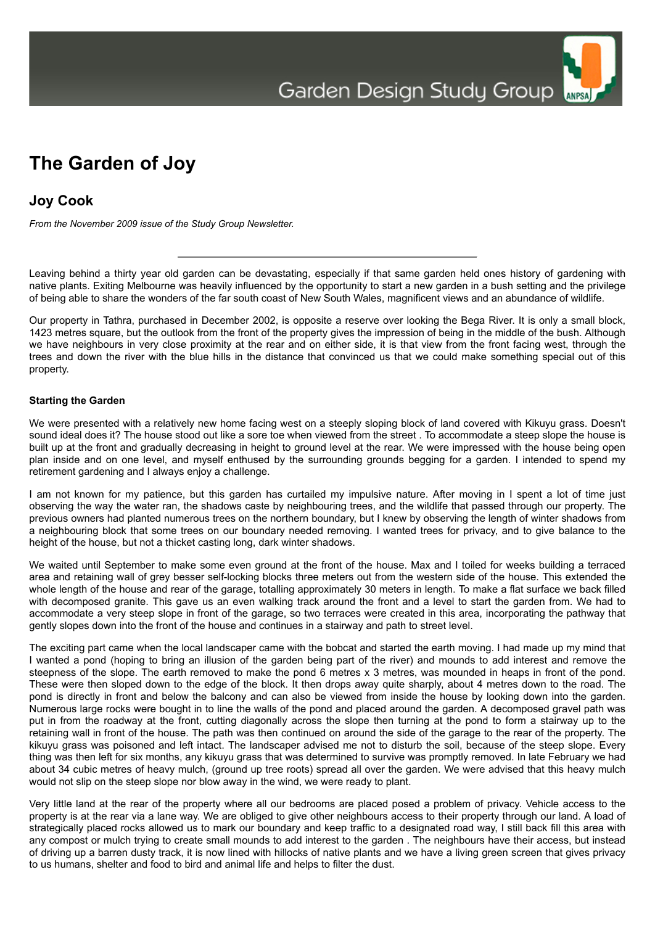## **The Garden of Joy**

## **Joy Cook**

*From the November 2009 issue of the Study Group Newsletter.*

Leaving behind a thirty year old garden can be devastating, especially if that same garden held ones history of gardening with native plants. Exiting Melbourne was heavily influenced by the opportunity to start a new garden in a bush setting and the privilege of being able to share the wonders of the far south coast of New South Wales, magnificent views and an abundance of wildlife.

Our property in Tathra, purchased in December 2002, is opposite a reserve over looking the Bega River. It is only a small block, 1423 metres square, but the outlook from the front of the property gives the impression of being in the middle of the bush. Although we have neighbours in very close proximity at the rear and on either side, it is that view from the front facing west, through the trees and down the river with the blue hills in the distance that convinced us that we could make something special out of this property.

## **Starting the Garden**

We were presented with a relatively new home facing west on a steeply sloping block of land covered with Kikuyu grass. Doesn't sound ideal does it? The house stood out like a sore toe when viewed from the street . To accommodate a steep slope the house is built up at the front and gradually decreasing in height to ground level at the rear. We were impressed with the house being open plan inside and on one level, and myself enthused by the surrounding grounds begging for a garden. I intended to spend my retirement gardening and I always enjoy a challenge.

I am not known for my patience, but this garden has curtailed my impulsive nature. After moving in I spent a lot of time just observing the way the water ran, the shadows caste by neighbouring trees, and the wildlife that passed through our property. The previous owners had planted numerous trees on the northern boundary, but I knew by observing the length of winter shadows from a neighbouring block that some trees on our boundary needed removing. I wanted trees for privacy, and to give balance to the height of the house, but not a thicket casting long, dark winter shadows.

We waited until September to make some even ground at the front of the house. Max and I toiled for weeks building a terraced area and retaining wall of grey besser self-locking blocks three meters out from the western side of the house. This extended the whole length of the house and rear of the garage, totalling approximately 30 meters in length. To make a flat surface we back filled with decomposed granite. This gave us an even walking track around the front and a level to start the garden from. We had to accommodate a very steep slope in front of the garage, so two terraces were created in this area, incorporating the pathway that gently slopes down into the front of the house and continues in a stairway and path to street level.

The exciting part came when the local landscaper came with the bobcat and started the earth moving. I had made up my mind that I wanted a pond (hoping to bring an illusion of the garden being part of the river) and mounds to add interest and remove the steepness of the slope. The earth removed to make the pond 6 metres x 3 metres, was mounded in heaps in front of the pond. These were then sloped down to the edge of the block. It then drops away quite sharply, about 4 metres down to the road. The pond is directly in front and below the balcony and can also be viewed from inside the house by looking down into the garden. Numerous large rocks were bought in to line the walls of the pond and placed around the garden. A decomposed gravel path was put in from the roadway at the front, cutting diagonally across the slope then turning at the pond to form a stairway up to the retaining wall in front of the house. The path was then continued on around the side of the garage to the rear of the property. The kikuyu grass was poisoned and left intact. The landscaper advised me not to disturb the soil, because of the steep slope. Every thing was then left for six months, any kikuyu grass that was determined to survive was promptly removed. In late February we had about 34 cubic metres of heavy mulch, (ground up tree roots) spread all over the garden. We were advised that this heavy mulch would not slip on the steep slope nor blow away in the wind, we were ready to plant.

Very little land at the rear of the property where all our bedrooms are placed posed a problem of privacy. Vehicle access to the property is at the rear via a lane way. We are obliged to give other neighbours access to their property through our land. A load of strategically placed rocks allowed us to mark our boundary and keep traffic to a designated road way, I still back fill this area with any compost or mulch trying to create small mounds to add interest to the garden . The neighbours have their access, but instead of driving up a barren dusty track, it is now lined with hillocks of native plants and we have a living green screen that gives privacy to us humans, shelter and food to bird and animal life and helps to filter the dust.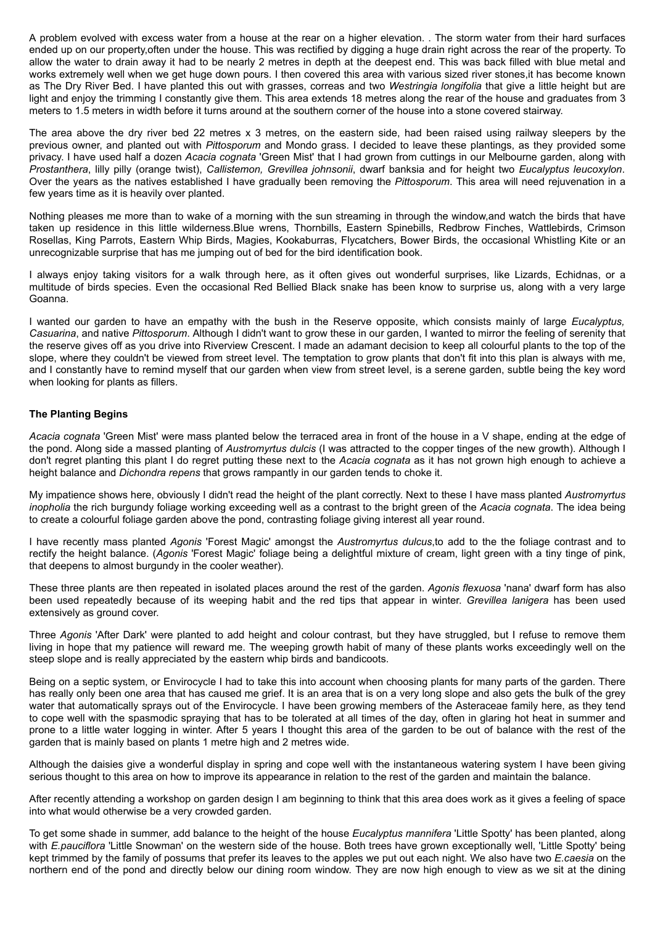A problem evolved with excess water from a house at the rear on a higher elevation. . The storm water from their hard surfaces ended up on our property,often under the house. This was rectified by digging a huge drain right across the rear of the property. To allow the water to drain away it had to be nearly 2 metres in depth at the deepest end. This was back filled with blue metal and works extremely well when we get huge down pours. I then covered this area with various sized river stones,it has become known as The Dry River Bed. I have planted this out with grasses, correas and two *Westringia longifolia* that give a little height but are light and enjoy the trimming I constantly give them. This area extends 18 metres along the rear of the house and graduates from 3 meters to 1.5 meters in width before it turns around at the southern corner of the house into a stone covered stairway.

The area above the dry river bed 22 metres x 3 metres, on the eastern side, had been raised using railway sleepers by the previous owner, and planted out with *Pittosporum* and Mondo grass. I decided to leave these plantings, as they provided some privacy. I have used half a dozen *Acacia cognata* 'Green Mist' that I had grown from cuttings in our Melbourne garden, along with *Prostanthera*, lilly pilly (orange twist), *Callistemon, Grevillea johnsonii*, dwarf banksia and for height two *Eucalyptus leucoxylon*. Over the years as the natives established I have gradually been removing the *Pittosporum*. This area will need rejuvenation in a few years time as it is heavily over planted.

Nothing pleases me more than to wake of a morning with the sun streaming in through the window,and watch the birds that have taken up residence in this little wilderness.Blue wrens, Thornbills, Eastern Spinebills, Redbrow Finches, Wattlebirds, Crimson Rosellas, King Parrots, Eastern Whip Birds, Magies, Kookaburras, Flycatchers, Bower Birds, the occasional Whistling Kite or an unrecognizable surprise that has me jumping out of bed for the bird identification book.

I always enjoy taking visitors for a walk through here, as it often gives out wonderful surprises, like Lizards, Echidnas, or a multitude of birds species. Even the occasional Red Bellied Black snake has been know to surprise us, along with a very large Goanna.

I wanted our garden to have an empathy with the bush in the Reserve opposite, which consists mainly of large *Eucalyptus, Casuarina*, and native *Pittosporum*. Although I didn't want to grow these in our garden, I wanted to mirror the feeling of serenity that the reserve gives off as you drive into Riverview Crescent. I made an adamant decision to keep all colourful plants to the top of the slope, where they couldn't be viewed from street level. The temptation to grow plants that don't fit into this plan is always with me, and I constantly have to remind myself that our garden when view from street level, is a serene garden, subtle being the key word when looking for plants as fillers.

## **The Planting Begins**

*Acacia cognata* 'Green Mist' were mass planted below the terraced area in front of the house in a V shape, ending at the edge of the pond. Along side a massed planting of *Austromyrtus dulcis* (I was attracted to the copper tinges of the new growth). Although I don't regret planting this plant I do regret putting these next to the *Acacia cognata* as it has not grown high enough to achieve a height balance and *Dichondra repens* that grows rampantly in our garden tends to choke it.

My impatience shows here, obviously I didn't read the height of the plant correctly. Next to these I have mass planted *Austromyrtus inopholia* the rich burgundy foliage working exceeding well as a contrast to the bright green of the *Acacia cognata*. The idea being to create a colourful foliage garden above the pond, contrasting foliage giving interest all year round.

I have recently mass planted *Agonis* 'Forest Magic' amongst the *Austromyrtus dulcus*,to add to the the foliage contrast and to rectify the height balance. (*Agonis* 'Forest Magic' foliage being a delightful mixture of cream, light green with a tiny tinge of pink, that deepens to almost burgundy in the cooler weather).

These three plants are then repeated in isolated places around the rest of the garden. *Agonis flexuosa* 'nana' dwarf form has also been used repeatedly because of its weeping habit and the red tips that appear in winter. *Grevillea lanigera* has been used extensively as ground cover.

Three *Agonis* 'After Dark' were planted to add height and colour contrast, but they have struggled, but I refuse to remove them living in hope that my patience will reward me. The weeping growth habit of many of these plants works exceedingly well on the steep slope and is really appreciated by the eastern whip birds and bandicoots.

Being on a septic system, or Envirocycle I had to take this into account when choosing plants for many parts of the garden. There has really only been one area that has caused me grief. It is an area that is on a very long slope and also gets the bulk of the grey water that automatically sprays out of the Envirocycle. I have been growing members of the Asteraceae family here, as they tend to cope well with the spasmodic spraying that has to be tolerated at all times of the day, often in glaring hot heat in summer and prone to a little water logging in winter. After 5 years I thought this area of the garden to be out of balance with the rest of the garden that is mainly based on plants 1 metre high and 2 metres wide.

Although the daisies give a wonderful display in spring and cope well with the instantaneous watering system I have been giving serious thought to this area on how to improve its appearance in relation to the rest of the garden and maintain the balance.

After recently attending a workshop on garden design I am beginning to think that this area does work as it gives a feeling of space into what would otherwise be a very crowded garden.

To get some shade in summer, add balance to the height of the house *Eucalyptus mannifera* 'Little Spotty' has been planted, along with *E.pauciflora* 'Little Snowman' on the western side of the house. Both trees have grown exceptionally well, 'Little Spotty' being kept trimmed by the family of possums that prefer its leaves to the apples we put out each night. We also have two *E.caesia* on the northern end of the pond and directly below our dining room window. They are now high enough to view as we sit at the dining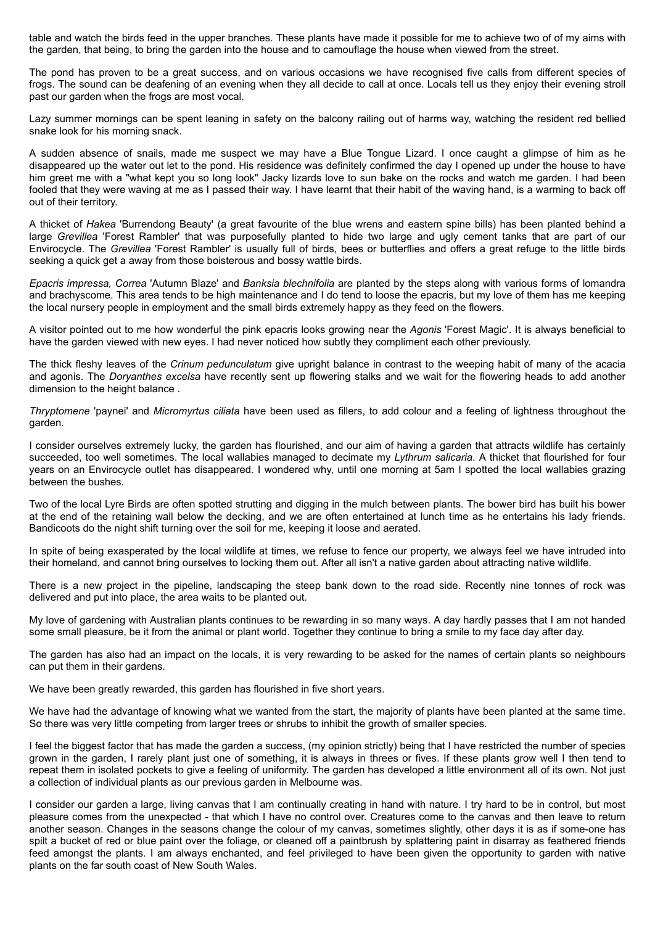table and watch the birds feed in the upper branches. These plants have made it possible for me to achieve two of of my aims with the garden, that being, to bring the garden into the house and to camouflage the house when viewed from the street.

The pond has proven to be a great success, and on various occasions we have recognised five calls from different species of frogs. The sound can be deafening of an evening when they all decide to call at once. Locals tell us they enjoy their evening stroll past our garden when the frogs are most vocal.

Lazy summer mornings can be spent leaning in safety on the balcony railing out of harms way, watching the resident red bellied snake look for his morning snack.

A sudden absence of snails, made me suspect we may have a Blue Tongue Lizard. I once caught a glimpse of him as he disappeared up the water out let to the pond. His residence was definitely confirmed the day I opened up under the house to have him greet me with a "what kept you so long look" Jacky lizards love to sun bake on the rocks and watch me garden. I had been fooled that they were waving at me as I passed their way. I have learnt that their habit of the waving hand, is a warming to back off out of their territory.

A thicket of *Hakea* 'Burrendong Beauty' (a great favourite of the blue wrens and eastern spine bills) has been planted behind a large *Grevillea* 'Forest Rambler' that was purposefully planted to hide two large and ugly cement tanks that are part of our Envirocycle. The *Grevillea* 'Forest Rambler' is usually full of birds, bees or butterflies and offers a great refuge to the little birds seeking a quick get a away from those boisterous and bossy wattle birds.

*Epacris impressa, Correa* 'Autumn Blaze' and *Banksia blechnifolia* are planted by the steps along with various forms of lomandra and brachyscome. This area tends to be high maintenance and I do tend to loose the epacris, but my love of them has me keeping the local nursery people in employment and the small birds extremely happy as they feed on the flowers.

A visitor pointed out to me how wonderful the pink epacris looks growing near the *Agonis* 'Forest Magic'. It is always beneficial to have the garden viewed with new eyes. I had never noticed how subtly they compliment each other previously.

The thick fleshy leaves of the *Crinum pedunculatum* give upright balance in contrast to the weeping habit of many of the acacia and agonis. The *Doryanthes excelsa* have recently sent up flowering stalks and we wait for the flowering heads to add another dimension to the height balance .

*Thryptomene* 'paynei' and *Micromyrtus ciliata* have been used as fillers, to add colour and a feeling of lightness throughout the garden.

I consider ourselves extremely lucky, the garden has flourished, and our aim of having a garden that attracts wildlife has certainly succeeded, too well sometimes. The local wallabies managed to decimate my *Lythrum salicaria*. A thicket that flourished for four years on an Envirocycle outlet has disappeared. I wondered why, until one morning at 5am I spotted the local wallabies grazing between the bushes.

Two of the local Lyre Birds are often spotted strutting and digging in the mulch between plants. The bower bird has built his bower at the end of the retaining wall below the decking, and we are often entertained at lunch time as he entertains his lady friends. Bandicoots do the night shift turning over the soil for me, keeping it loose and aerated.

In spite of being exasperated by the local wildlife at times, we refuse to fence our property, we always feel we have intruded into their homeland, and cannot bring ourselves to locking them out. After all isn't a native garden about attracting native wildlife.

There is a new project in the pipeline, landscaping the steep bank down to the road side. Recently nine tonnes of rock was delivered and put into place, the area waits to be planted out.

My love of gardening with Australian plants continues to be rewarding in so many ways. A day hardly passes that I am not handed some small pleasure, be it from the animal or plant world. Together they continue to bring a smile to my face day after day.

The garden has also had an impact on the locals, it is very rewarding to be asked for the names of certain plants so neighbours can put them in their gardens.

We have been greatly rewarded, this garden has flourished in five short years.

We have had the advantage of knowing what we wanted from the start, the majority of plants have been planted at the same time. So there was very little competing from larger trees or shrubs to inhibit the growth of smaller species.

I feel the biggest factor that has made the garden a success, (my opinion strictly) being that I have restricted the number of species grown in the garden, I rarely plant just one of something, it is always in threes or fives. If these plants grow well I then tend to repeat them in isolated pockets to give a feeling of uniformity. The garden has developed a little environment all of its own. Not just a collection of individual plants as our previous garden in Melbourne was.

I consider our garden a large, living canvas that I am continually creating in hand with nature. I try hard to be in control, but most pleasure comes from the unexpected - that which I have no control over. Creatures come to the canvas and then leave to return another season. Changes in the seasons change the colour of my canvas, sometimes slightly, other days it is as if some-one has spilt a bucket of red or blue paint over the foliage, or cleaned off a paintbrush by splattering paint in disarray as feathered friends feed amongst the plants. I am always enchanted, and feel privileged to have been given the opportunity to garden with native plants on the far south coast of New South Wales.